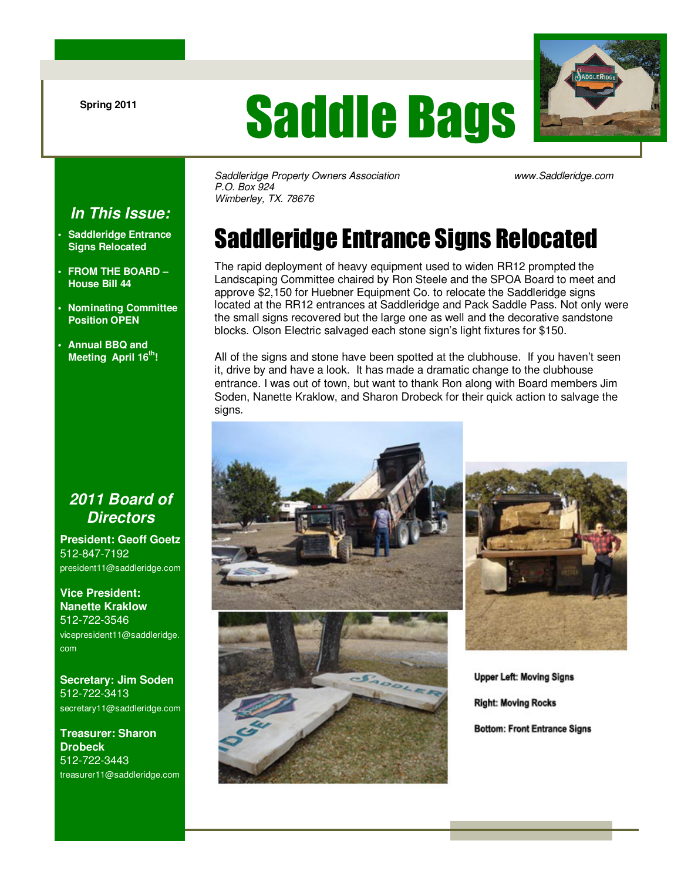# Saddle Bags



Saddleridge Property Owners Association www.Saddleridge.com P.O. Box 924 Wimberley, TX. 78676

# Saddleridge Entrance Signs Relocated

The rapid deployment of heavy equipment used to widen RR12 prompted the Landscaping Committee chaired by Ron Steele and the SPOA Board to meet and approve \$2,150 for Huebner Equipment Co. to relocate the Saddleridge signs located at the RR12 entrances at Saddleridge and Pack Saddle Pass. Not only were the small signs recovered but the large one as well and the decorative sandstone blocks. Olson Electric salvaged each stone sign's light fixtures for \$150.

All of the signs and stone have been spotted at the clubhouse. If you haven't seen it, drive by and have a look. It has made a dramatic change to the clubhouse entrance. I was out of town, but want to thank Ron along with Board members Jim Soden, Nanette Kraklow, and Sharon Drobeck for their quick action to salvage the signs.



**Upper Left: Moving Signs Right: Moving Rocks Bottom: Front Entrance Signs** 

#### **In This Issue:**

- **Saddleridge Entrance Signs Relocated**
- **FROM THE BOARD House Bill 44**
- **Nominating Committee Position OPEN**
- **Annual BBQ and Meeting April 16th!**

#### **2011 Board of Directors**

**President: Geoff Goetz** 512-847-7192 president11@saddleridge.com

**Vice President: Nanette Kraklow** 512-722-3546 vicepresident11@saddleridge. com

**Secretary: Jim Soden** 512-722-3413 secretary11@saddleridge.com

**Treasurer: Sharon Drobeck** 512-722-3443 treasurer11@saddleridge.com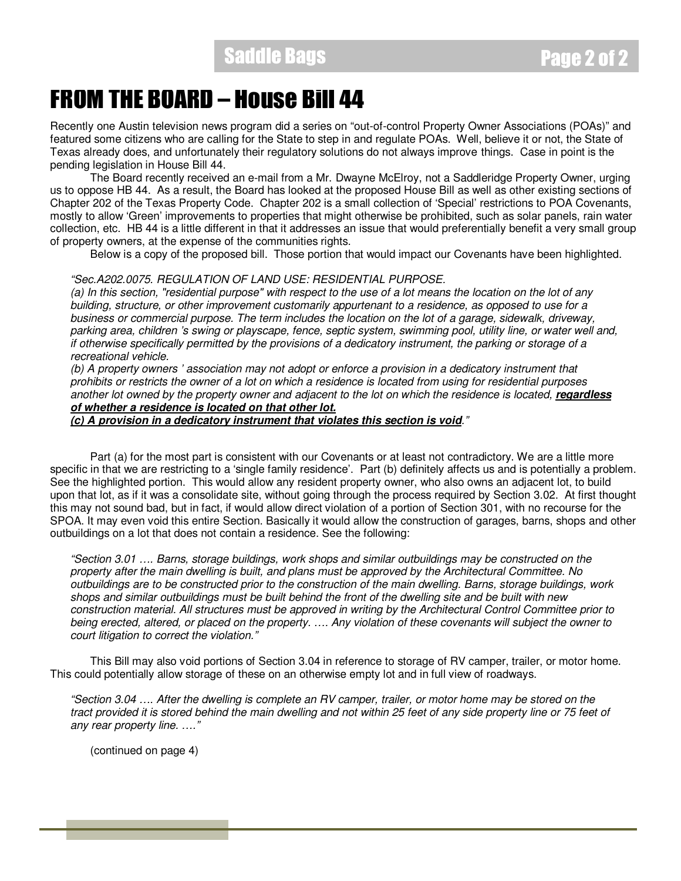### FROM THE BOARD – House Bill 44

Recently one Austin television news program did a series on "out-of-control Property Owner Associations (POAs)" and featured some citizens who are calling for the State to step in and regulate POAs. Well, believe it or not, the State of Texas already does, and unfortunately their regulatory solutions do not always improve things. Case in point is the pending legislation in House Bill 44.

 The Board recently received an e-mail from a Mr. Dwayne McElroy, not a Saddleridge Property Owner, urging us to oppose HB 44. As a result, the Board has looked at the proposed House Bill as well as other existing sections of Chapter 202 of the Texas Property Code. Chapter 202 is a small collection of 'Special' restrictions to POA Covenants, mostly to allow 'Green' improvements to properties that might otherwise be prohibited, such as solar panels, rain water collection, etc. HB 44 is a little different in that it addresses an issue that would preferentially benefit a very small group of property owners, at the expense of the communities rights.

Below is a copy of the proposed bill. Those portion that would impact our Covenants have been highlighted.

#### "Sec.A202.0075. REGULATION OF LAND USE: RESIDENTIAL PURPOSE.

(a) In this section, "residential purpose" with respect to the use of a lot means the location on the lot of any building, structure, or other improvement customarily appurtenant to a residence, as opposed to use for a business or commercial purpose. The term includes the location on the lot of a garage, sidewalk, driveway, parking area, children 's swing or playscape, fence, septic system, swimming pool, utility line, or water well and, if otherwise specifically permitted by the provisions of a dedicatory instrument, the parking or storage of a recreational vehicle.

(b) A property owners ' association may not adopt or enforce a provision in a dedicatory instrument that prohibits or restricts the owner of a lot on which a residence is located from using for residential purposes another lot owned by the property owner and adjacent to the lot on which the residence is located, **regardless of whether a residence is located on that other lot.** 

**(c) A provision in a dedicatory instrument that violates this section is void**."

 Part (a) for the most part is consistent with our Covenants or at least not contradictory. We are a little more specific in that we are restricting to a 'single family residence'. Part (b) definitely affects us and is potentially a problem. See the highlighted portion. This would allow any resident property owner, who also owns an adjacent lot, to build upon that lot, as if it was a consolidate site, without going through the process required by Section 3.02. At first thought this may not sound bad, but in fact, if would allow direct violation of a portion of Section 301, with no recourse for the SPOA. It may even void this entire Section. Basically it would allow the construction of garages, barns, shops and other outbuildings on a lot that does not contain a residence. See the following:

"Section 3.01 …. Barns, storage buildings, work shops and similar outbuildings may be constructed on the property after the main dwelling is built, and plans must be approved by the Architectural Committee. No outbuildings are to be constructed prior to the construction of the main dwelling. Barns, storage buildings, work shops and similar outbuildings must be built behind the front of the dwelling site and be built with new construction material. All structures must be approved in writing by the Architectural Control Committee prior to being erected, altered, or placed on the property. …. Any violation of these covenants will subject the owner to court litigation to correct the violation."

 This Bill may also void portions of Section 3.04 in reference to storage of RV camper, trailer, or motor home. This could potentially allow storage of these on an otherwise empty lot and in full view of roadways.

"Section 3.04 …. After the dwelling is complete an RV camper, trailer, or motor home may be stored on the tract provided it is stored behind the main dwelling and not within 25 feet of any side property line or 75 feet of any rear property line. …."

(continued on page 4)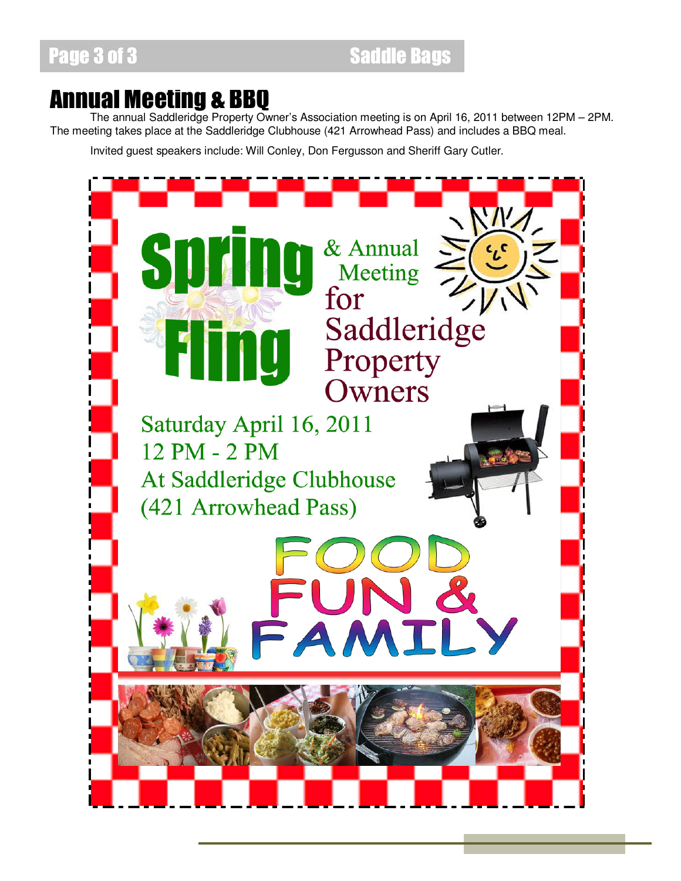### Annual Meeting & BBQ

 The annual Saddleridge Property Owner's Association meeting is on April 16, 2011 between 12PM – 2PM. The meeting takes place at the Saddleridge Clubhouse (421 Arrowhead Pass) and includes a BBQ meal.

Invited guest speakers include: Will Conley, Don Fergusson and Sheriff Gary Cutler.